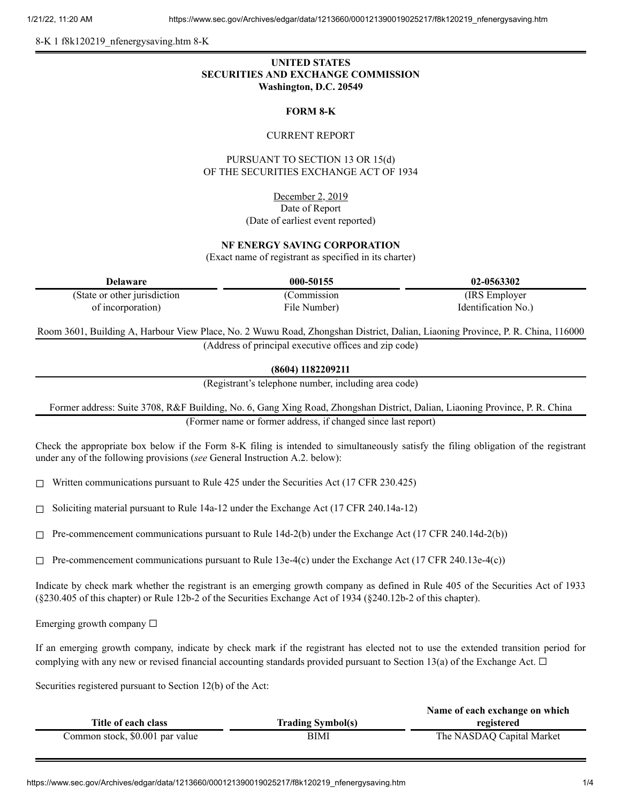8-K 1 f8k120219\_nfenergysaving.htm 8-K

# **UNITED STATES SECURITIES AND EXCHANGE COMMISSION Washington, D.C. 20549**

#### **FORM 8-K**

#### CURRENT REPORT

## PURSUANT TO SECTION 13 OR 15(d) OF THE SECURITIES EXCHANGE ACT OF 1934

December 2, 2019 Date of Report (Date of earliest event reported)

### **NF ENERGY SAVING CORPORATION**

(Exact name of registrant as specified in its charter)

| Delaware                      | 000-50155    | 02-0563302          |
|-------------------------------|--------------|---------------------|
| (State or other jurisdiction) | Commission   | (IRS Employer)      |
| of incorporation)             | File Number) | Identification No.) |

Room 3601, Building A, Harbour View Place, No. 2 Wuwu Road, Zhongshan District, Dalian, Liaoning Province, P. R. China, 116000 (Address of principal executive offices and zip code)

**(8604) 1182209211**

(Registrant's telephone number, including area code)

Former address: Suite 3708, R&F Building, No. 6, Gang Xing Road, Zhongshan District, Dalian, Liaoning Province, P. R. China (Former name or former address, if changed since last report)

Check the appropriate box below if the Form 8-K filing is intended to simultaneously satisfy the filing obligation of the registrant under any of the following provisions (*see* General Instruction A.2. below):

 $\Box$  Written communications pursuant to Rule 425 under the Securities Act (17 CFR 230.425)

 $\Box$  Soliciting material pursuant to Rule 14a-12 under the Exchange Act (17 CFR 240.14a-12)

 $\Box$  Pre-commencement communications pursuant to Rule 14d-2(b) under the Exchange Act (17 CFR 240.14d-2(b))

 $\Box$  Pre-commencement communications pursuant to Rule 13e-4(c) under the Exchange Act (17 CFR 240.13e-4(c))

Indicate by check mark whether the registrant is an emerging growth company as defined in Rule 405 of the Securities Act of 1933 (§230.405 of this chapter) or Rule 12b-2 of the Securities Exchange Act of 1934 (§240.12b-2 of this chapter).

Emerging growth company  $\Box$ 

If an emerging growth company, indicate by check mark if the registrant has elected not to use the extended transition period for complying with any new or revised financial accounting standards provided pursuant to Section 13(a) of the Exchange Act.  $\Box$ 

Securities registered pursuant to Section 12(b) of the Act:

|                                 |                          | Name of each exchange on which |
|---------------------------------|--------------------------|--------------------------------|
| Title of each class             | <b>Trading Symbol(s)</b> | registered                     |
| Common stock, \$0.001 par value | BIMI                     | The NASDAQ Capital Market      |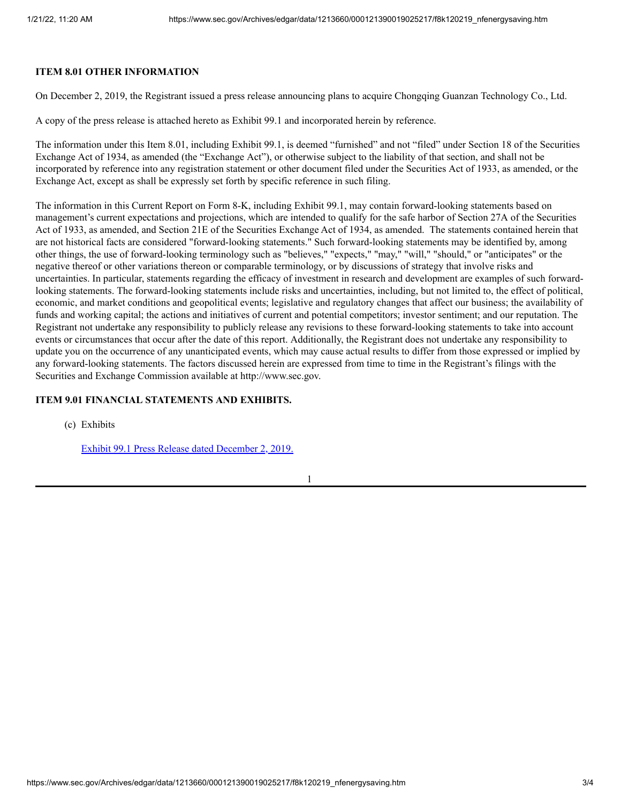### **ITEM 8.01 OTHER INFORMATION**

On December 2, 2019, the Registrant issued a press release announcing plans to acquire Chongqing Guanzan Technology Co., Ltd.

A copy of the press release is attached hereto as Exhibit 99.1 and incorporated herein by reference.

The information under this Item 8.01, including Exhibit 99.1, is deemed "furnished" and not "filed" under Section 18 of the Securities Exchange Act of 1934, as amended (the "Exchange Act"), or otherwise subject to the liability of that section, and shall not be incorporated by reference into any registration statement or other document filed under the Securities Act of 1933, as amended, or the Exchange Act, except as shall be expressly set forth by specific reference in such filing.

The information in this Current Report on Form 8-K, including Exhibit 99.1, may contain forward-looking statements based on management's current expectations and projections, which are intended to qualify for the safe harbor of Section 27A of the Securities Act of 1933, as amended, and Section 21E of the Securities Exchange Act of 1934, as amended. The statements contained herein that are not historical facts are considered "forward-looking statements." Such forward-looking statements may be identified by, among other things, the use of forward-looking terminology such as "believes," "expects," "may," "will," "should," or "anticipates" or the negative thereof or other variations thereon or comparable terminology, or by discussions of strategy that involve risks and uncertainties. In particular, statements regarding the efficacy of investment in research and development are examples of such forwardlooking statements. The forward-looking statements include risks and uncertainties, including, but not limited to, the effect of political, economic, and market conditions and geopolitical events; legislative and regulatory changes that affect our business; the availability of funds and working capital; the actions and initiatives of current and potential competitors; investor sentiment; and our reputation. The Registrant not undertake any responsibility to publicly release any revisions to these forward-looking statements to take into account events or circumstances that occur after the date of this report. Additionally, the Registrant does not undertake any responsibility to update you on the occurrence of any unanticipated events, which may cause actual results to differ from those expressed or implied by any forward-looking statements. The factors discussed herein are expressed from time to time in the Registrant's filings with the Securities and Exchange Commission available at http://www.sec.gov.

## **ITEM 9.01 FINANCIAL STATEMENTS AND EXHIBITS.**

(c) Exhibits

Exhibit 99.1 Press Release dated [December](https://www.sec.gov/Archives/edgar/data/1213660/000121390019025217/f8k120219ex99-1_nfenergy.htm) 2, 2019.